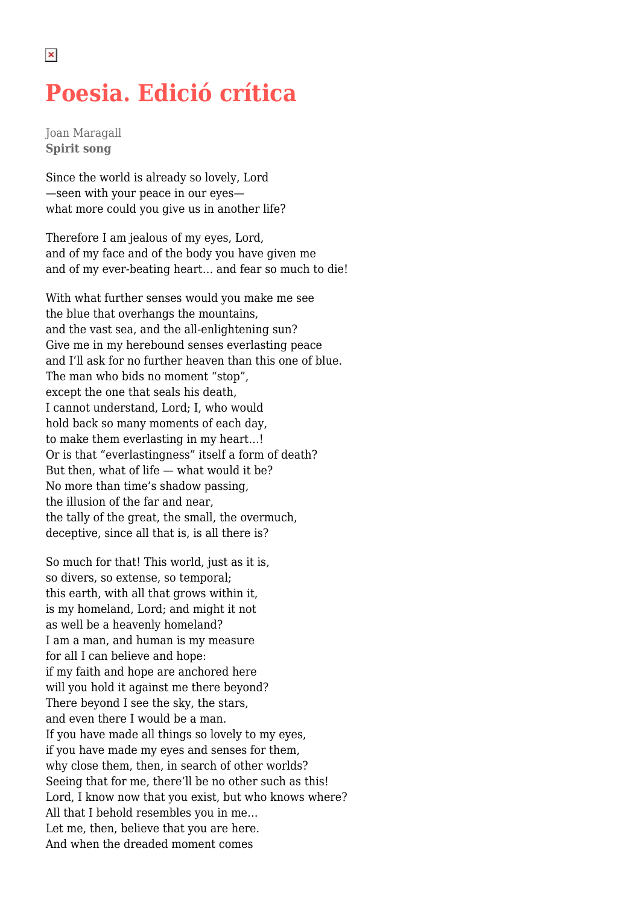## **Poesia. Edició crítica**

Joan Maragall **Spirit song**

Since the world is already so lovely, Lord —seen with your peace in our eyes what more could you give us in another life?

Therefore I am jealous of my eyes, Lord, and of my face and of the body you have given me and of my ever-beating heart… and fear so much to die!

With what further senses would you make me see the blue that overhangs the mountains, and the vast sea, and the all-enlightening sun? Give me in my herebound senses everlasting peace and I'll ask for no further heaven than this one of blue. The man who bids no moment "stop", except the one that seals his death, I cannot understand, Lord; I, who would hold back so many moments of each day, to make them everlasting in my heart…! Or is that "everlastingness" itself a form of death? But then, what of life — what would it be? No more than time's shadow passing, the illusion of the far and near, the tally of the great, the small, the overmuch, deceptive, since all that is, is all there is?

So much for that! This world, just as it is, so divers, so extense, so temporal; this earth, with all that grows within it, is my homeland, Lord; and might it not as well be a heavenly homeland? I am a man, and human is my measure for all I can believe and hope: if my faith and hope are anchored here will you hold it against me there beyond? There beyond I see the sky, the stars, and even there I would be a man. If you have made all things so lovely to my eyes, if you have made my eyes and senses for them, why close them, then, in search of other worlds? Seeing that for me, there'll be no other such as this! Lord, I know now that you exist, but who knows where? All that I behold resembles you in me… Let me, then, believe that you are here. And when the dreaded moment comes

 $\pmb{\times}$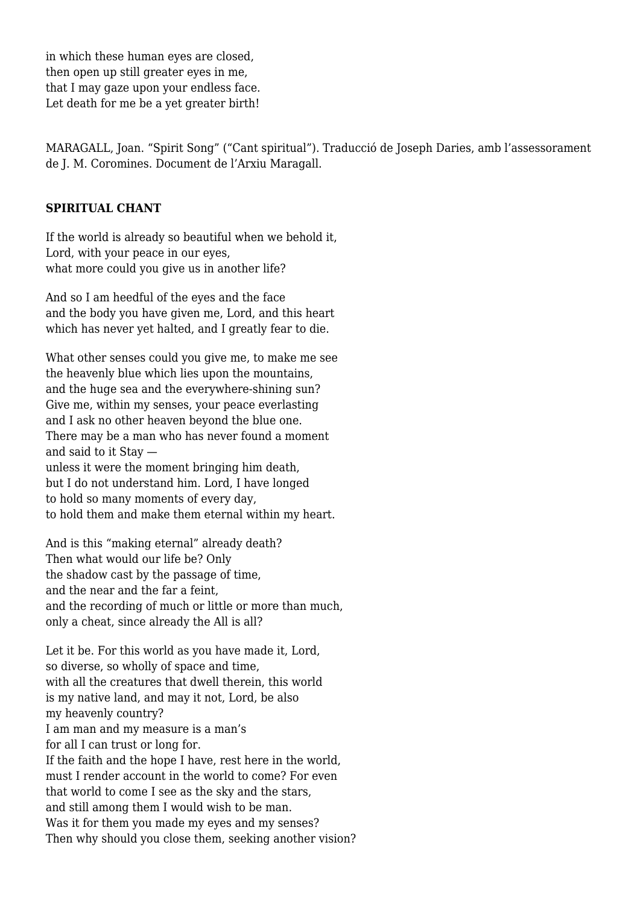in which these human eyes are closed, then open up still greater eyes in me, that I may gaze upon your endless face. Let death for me be a yet greater birth!

MARAGALL, Joan. "Spirit Song" ("Cant spiritual"). Traducció de Joseph Daries, amb l'assessorament de J. M. Coromines. Document de l'Arxiu Maragall.

## **SPIRITUAL CHANT**

If the world is already so beautiful when we behold it, Lord, with your peace in our eyes. what more could you give us in another life?

And so I am heedful of the eyes and the face and the body you have given me, Lord, and this heart which has never yet halted, and I greatly fear to die.

What other senses could you give me, to make me see the heavenly blue which lies upon the mountains, and the huge sea and the everywhere-shining sun? Give me, within my senses, your peace everlasting and I ask no other heaven beyond the blue one. There may be a man who has never found a moment and said to it Stay unless it were the moment bringing him death, but I do not understand him. Lord, I have longed to hold so many moments of every day, to hold them and make them eternal within my heart.

And is this "making eternal" already death? Then what would our life be? Only the shadow cast by the passage of time, and the near and the far a feint, and the recording of much or little or more than much, only a cheat, since already the All is all?

Let it be. For this world as you have made it, Lord, so diverse, so wholly of space and time, with all the creatures that dwell therein, this world is my native land, and may it not, Lord, be also my heavenly country? I am man and my measure is a man's for all I can trust or long for. If the faith and the hope I have, rest here in the world, must I render account in the world to come? For even that world to come I see as the sky and the stars, and still among them I would wish to be man. Was it for them you made my eyes and my senses? Then why should you close them, seeking another vision?